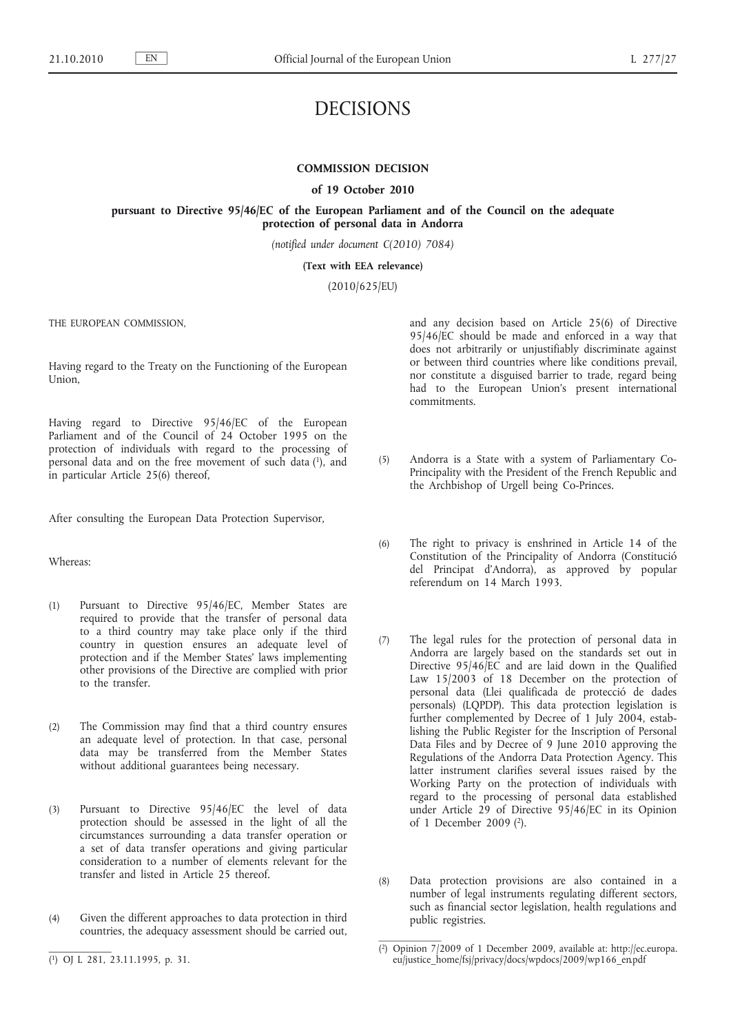# DECISIONS

# **COMMISSION DECISION**

#### **of 19 October 2010**

# **pursuant to Directive 95/46/EC of the European Parliament and of the Council on the adequate protection of personal data in Andorra**

*(notified under document C(2010) 7084)*

**(Text with EEA relevance)**

(2010/625/EU)

THE EUROPEAN COMMISSION,

Having regard to the Treaty on the Functioning of the European Union,

Having regard to Directive 95/46/EC of the European Parliament and of the Council of 24 October 1995 on the protection of individuals with regard to the processing of personal data and on the free movement of such data (1), and in particular Article 25(6) thereof,

After consulting the European Data Protection Supervisor,

Whereas:

- (1) Pursuant to Directive 95/46/EC, Member States are required to provide that the transfer of personal data to a third country may take place only if the third country in question ensures an adequate level of protection and if the Member States' laws implementing other provisions of the Directive are complied with prior to the transfer.
- (2) The Commission may find that a third country ensures an adequate level of protection. In that case, personal data may be transferred from the Member States without additional guarantees being necessary.
- (3) Pursuant to Directive 95/46/EC the level of data protection should be assessed in the light of all the circumstances surrounding a data transfer operation or a set of data transfer operations and giving particular consideration to a number of elements relevant for the transfer and listed in Article 25 thereof.
- (4) Given the different approaches to data protection in third countries, the adequacy assessment should be carried out,

and any decision based on Article 25(6) of Directive 95/46/EC should be made and enforced in a way that does not arbitrarily or unjustifiably discriminate against or between third countries where like conditions prevail, nor constitute a disguised barrier to trade, regard being had to the European Union's present international commitments.

- (5) Andorra is a State with a system of Parliamentary Co-Principality with the President of the French Republic and the Archbishop of Urgell being Co-Princes.
- (6) The right to privacy is enshrined in Article 14 of the Constitution of the Principality of Andorra (Constitució del Principat d'Andorra), as approved by popular referendum on 14 March 1993.
- (7) The legal rules for the protection of personal data in Andorra are largely based on the standards set out in Directive 95/46/EC and are laid down in the Qualified Law 15/2003 of 18 December on the protection of personal data (Llei qualificada de protecció de dades personals) (LQPDP). This data protection legislation is further complemented by Decree of 1 July 2004, establishing the Public Register for the Inscription of Personal Data Files and by Decree of 9 June 2010 approving the Regulations of the Andorra Data Protection Agency. This latter instrument clarifies several issues raised by the Working Party on the protection of individuals with regard to the processing of personal data established under Article 29 of Directive 95/46/EC in its Opinion of 1 December 2009 (2).
- (8) Data protection provisions are also contained in a number of legal instruments regulating different sectors, such as financial sector legislation, health regulations and public registries.

<sup>(</sup> 1) OJ L 281, 23.11.1995, p. 31.

<sup>(</sup> 2) Opinion 7/2009 of 1 December 2009, available at: [http://ec.europa.](http://ec.europa.eu/justice_home/fsj/privacy/docs/wpdocs/2009/wp166_en.pdf) [eu/justice\\_home/fsj/privacy/docs/wpdocs/2009/wp166\\_en.pdf](http://ec.europa.eu/justice_home/fsj/privacy/docs/wpdocs/2009/wp166_en.pdf)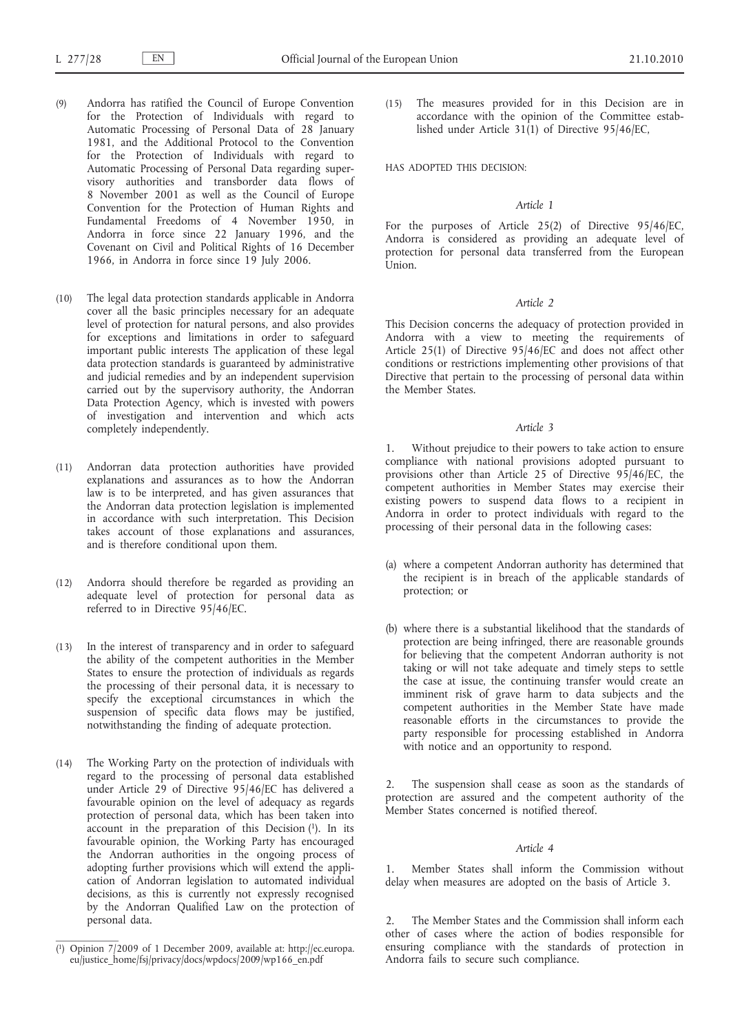- (9) Andorra has ratified the Council of Europe Convention for the Protection of Individuals with regard to Automatic Processing of Personal Data of 28 January 1981, and the Additional Protocol to the Convention for the Protection of Individuals with regard to Automatic Processing of Personal Data regarding supervisory authorities and transborder data flows of 8 November 2001 as well as the Council of Europe Convention for the Protection of Human Rights and Fundamental Freedoms of 4 November 1950, in Andorra in force since 22 January 1996, and the Covenant on Civil and Political Rights of 16 December 1966, in Andorra in force since 19 July 2006.
- (10) The legal data protection standards applicable in Andorra cover all the basic principles necessary for an adequate level of protection for natural persons, and also provides for exceptions and limitations in order to safeguard important public interests The application of these legal data protection standards is guaranteed by administrative and judicial remedies and by an independent supervision carried out by the supervisory authority, the Andorran Data Protection Agency, which is invested with powers of investigation and intervention and which acts completely independently.
- (11) Andorran data protection authorities have provided explanations and assurances as to how the Andorran law is to be interpreted, and has given assurances that the Andorran data protection legislation is implemented in accordance with such interpretation. This Decision takes account of those explanations and assurances, and is therefore conditional upon them.
- (12) Andorra should therefore be regarded as providing an adequate level of protection for personal data as referred to in Directive 95/46/EC.
- (13) In the interest of transparency and in order to safeguard the ability of the competent authorities in the Member States to ensure the protection of individuals as regards the processing of their personal data, it is necessary to specify the exceptional circumstances in which the suspension of specific data flows may be justified, notwithstanding the finding of adequate protection.
- (14) The Working Party on the protection of individuals with regard to the processing of personal data established under Article 29 of Directive 95/46/EC has delivered a favourable opinion on the level of adequacy as regards protection of personal data, which has been taken into  $\alpha$  account in the preparation of this Decision  $(1)$ . In its favourable opinion, the Working Party has encouraged the Andorran authorities in the ongoing process of adopting further provisions which will extend the application of Andorran legislation to automated individual decisions, as this is currently not expressly recognised by the Andorran Qualified Law on the protection of personal data.

(15) The measures provided for in this Decision are in accordance with the opinion of the Committee established under Article  $31(1)$  of Directive  $95/46/EC$ ,

HAS ADOPTED THIS DECISION:

#### *Article 1*

For the purposes of Article 25(2) of Directive 95/46/EC, Andorra is considered as providing an adequate level of protection for personal data transferred from the European Union.

# *Article 2*

This Decision concerns the adequacy of protection provided in Andorra with a view to meeting the requirements of Article 25(1) of Directive 95/46/EC and does not affect other conditions or restrictions implementing other provisions of that Directive that pertain to the processing of personal data within the Member States.

#### *Article 3*

1. Without prejudice to their powers to take action to ensure compliance with national provisions adopted pursuant to provisions other than Article 25 of Directive 95/46/EC, the competent authorities in Member States may exercise their existing powers to suspend data flows to a recipient in Andorra in order to protect individuals with regard to the processing of their personal data in the following cases:

- (a) where a competent Andorran authority has determined that the recipient is in breach of the applicable standards of protection; or
- (b) where there is a substantial likelihood that the standards of protection are being infringed, there are reasonable grounds for believing that the competent Andorran authority is not taking or will not take adequate and timely steps to settle the case at issue, the continuing transfer would create an imminent risk of grave harm to data subjects and the competent authorities in the Member State have made reasonable efforts in the circumstances to provide the party responsible for processing established in Andorra with notice and an opportunity to respond.

The suspension shall cease as soon as the standards of protection are assured and the competent authority of the Member States concerned is notified thereof.

# *Article 4*

1. Member States shall inform the Commission without delay when measures are adopted on the basis of Article 3.

The Member States and the Commission shall inform each other of cases where the action of bodies responsible for ensuring compliance with the standards of protection in Andorra fails to secure such compliance.

<sup>(</sup> 1) Opinion 7/2009 of 1 December 2009, available at: [http://ec.europa.](http://ec.europa.eu/justice_home/fsj/privacy/docs/wpdocs/2009/wp166_en.pdf) [eu/justice\\_home/fsj/privacy/docs/wpdocs/2009/wp166\\_en.pdf](http://ec.europa.eu/justice_home/fsj/privacy/docs/wpdocs/2009/wp166_en.pdf)